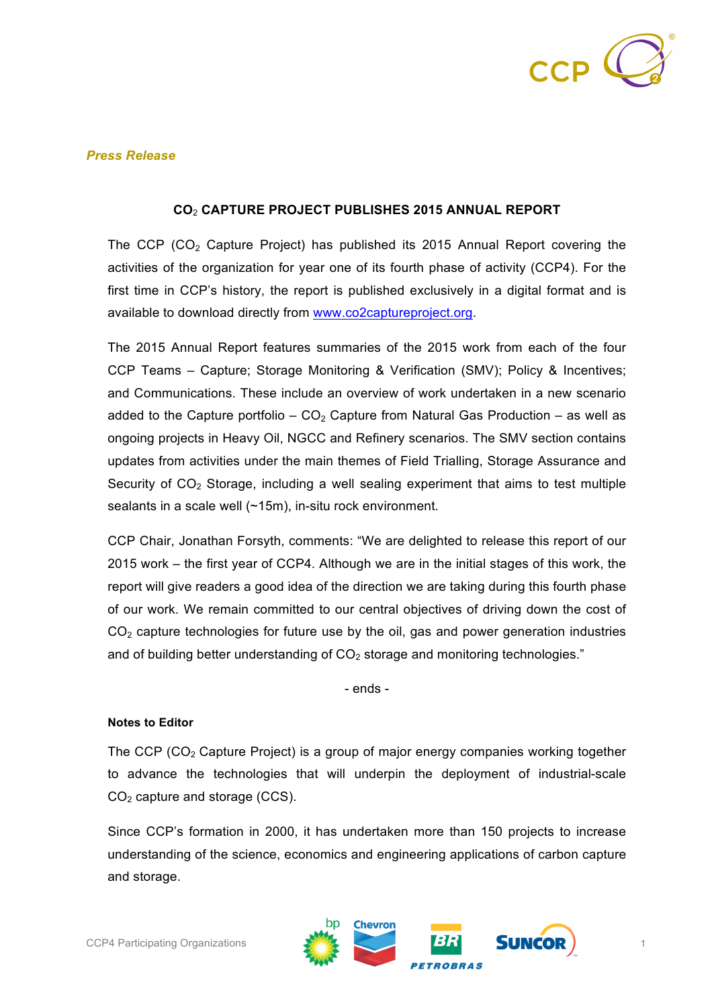

## *Press Release*

## **CO**<sup>2</sup> **CAPTURE PROJECT PUBLISHES 2015 ANNUAL REPORT**

The CCP (CO<sub>2</sub> Capture Project) has published its 2015 Annual Report covering the activities of the organization for year one of its fourth phase of activity (CCP4). For the first time in CCP's history, the report is published exclusively in a digital format and is available to download directly from www.co2captureproject.org.

The 2015 Annual Report features summaries of the 2015 work from each of the four CCP Teams – Capture; Storage Monitoring & Verification (SMV); Policy & Incentives; and Communications. These include an overview of work undertaken in a new scenario added to the Capture portfolio –  $CO<sub>2</sub>$  Capture from Natural Gas Production – as well as ongoing projects in Heavy Oil, NGCC and Refinery scenarios. The SMV section contains updates from activities under the main themes of Field Trialling, Storage Assurance and Security of  $CO<sub>2</sub>$  Storage, including a well sealing experiment that aims to test multiple sealants in a scale well (~15m), in-situ rock environment.

CCP Chair, Jonathan Forsyth, comments: "We are delighted to release this report of our 2015 work – the first year of CCP4. Although we are in the initial stages of this work, the report will give readers a good idea of the direction we are taking during this fourth phase of our work. We remain committed to our central objectives of driving down the cost of  $CO<sub>2</sub>$  capture technologies for future use by the oil, gas and power generation industries and of building better understanding of  $CO<sub>2</sub>$  storage and monitoring technologies."

- ends -

## **Notes to Editor**

The CCP  $(CO<sub>2</sub>$  Capture Project) is a group of major energy companies working together to advance the technologies that will underpin the deployment of industrial-scale  $CO<sub>2</sub>$  capture and storage (CCS).

Since CCP's formation in 2000, it has undertaken more than 150 projects to increase understanding of the science, economics and engineering applications of carbon capture and storage.